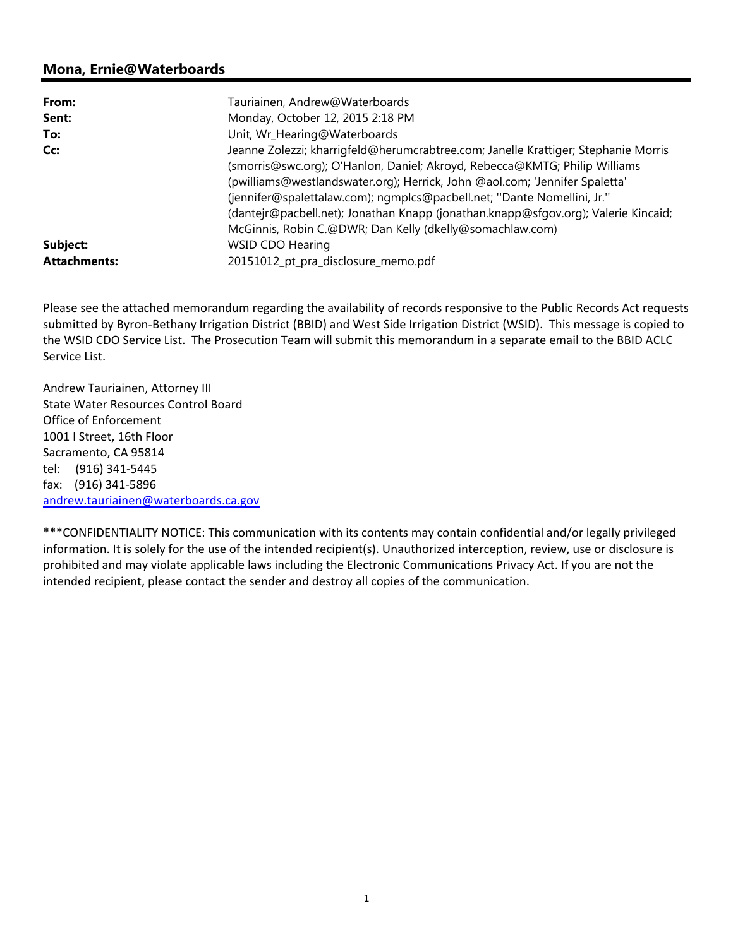# **Mona, Ernie@Waterboards**

| From:               | Tauriainen, Andrew@Waterboards                                                                                                                                                                                                                                                                                                                                                                                                                                               |
|---------------------|------------------------------------------------------------------------------------------------------------------------------------------------------------------------------------------------------------------------------------------------------------------------------------------------------------------------------------------------------------------------------------------------------------------------------------------------------------------------------|
| Sent:               | Monday, October 12, 2015 2:18 PM                                                                                                                                                                                                                                                                                                                                                                                                                                             |
| To:                 | Unit, Wr_Hearing@Waterboards                                                                                                                                                                                                                                                                                                                                                                                                                                                 |
| Cc:                 | Jeanne Zolezzi; kharrigfeld@herumcrabtree.com; Janelle Krattiger; Stephanie Morris<br>(smorris@swc.org); O'Hanlon, Daniel; Akroyd, Rebecca@KMTG; Philip Williams<br>(pwilliams@westlandswater.org); Herrick, John @aol.com; 'Jennifer Spaletta'<br>(jennifer@spalettalaw.com); ngmplcs@pacbell.net; "Dante Nomellini, Jr."<br>(dantejr@pacbell.net); Jonathan Knapp (jonathan.knapp@sfgov.org); Valerie Kincaid;<br>McGinnis, Robin C.@DWR; Dan Kelly (dkelly@somachlaw.com) |
| Subject:            | <b>WSID CDO Hearing</b>                                                                                                                                                                                                                                                                                                                                                                                                                                                      |
| <b>Attachments:</b> | 20151012_pt_pra_disclosure_memo.pdf                                                                                                                                                                                                                                                                                                                                                                                                                                          |

Please see the attached memorandum regarding the availability of records responsive to the Public Records Act requests submitted by Byron‐Bethany Irrigation District (BBID) and West Side Irrigation District (WSID). This message is copied to the WSID CDO Service List. The Prosecution Team will submit this memorandum in a separate email to the BBID ACLC Service List.

Andrew Tauriainen, Attorney III State Water Resources Control Board Office of Enforcement 1001 I Street, 16th Floor Sacramento, CA 95814 tel: (916) 341‐5445 fax: (916) 341‐5896 andrew.tauriainen@waterboards.ca.gov

\*\*\*CONFIDENTIALITY NOTICE: This communication with its contents may contain confidential and/or legally privileged information. It is solely for the use of the intended recipient(s). Unauthorized interception, review, use or disclosure is prohibited and may violate applicable laws including the Electronic Communications Privacy Act. If you are not the intended recipient, please contact the sender and destroy all copies of the communication.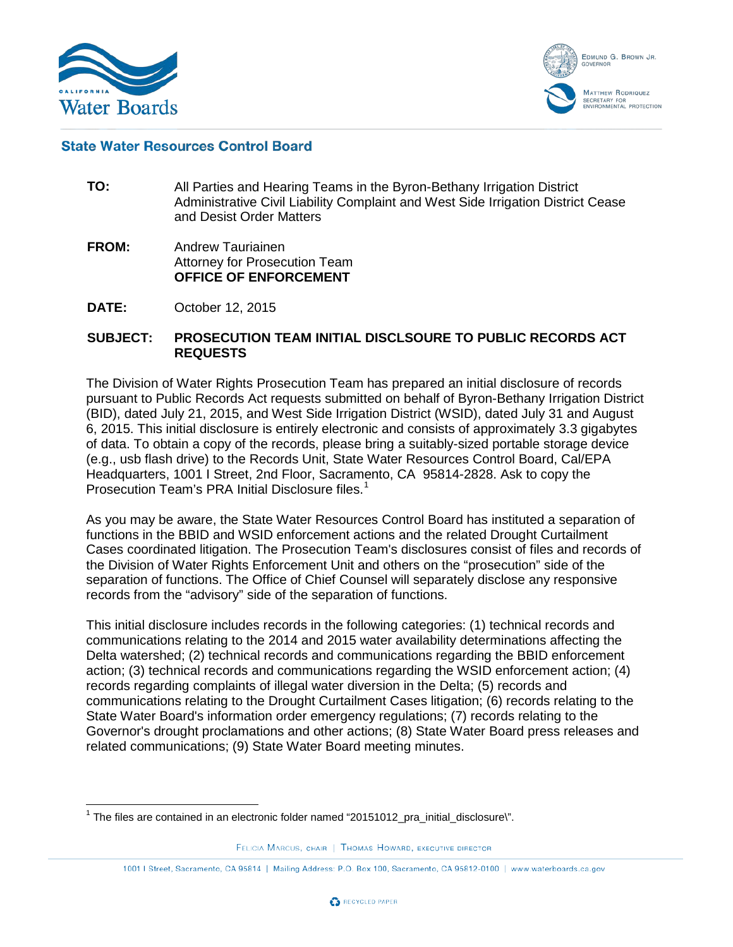



# **State Water Resources Control Board**

- **TO:** All Parties and Hearing Teams in the Byron-Bethany Irrigation District Administrative Civil Liability Complaint and West Side Irrigation District Cease and Desist Order Matters
- **FROM:** Andrew Tauriainen Attorney for Prosecution Team **OFFICE OF ENFORCEMENT**
- **DATE:** October 12, 2015

#### **SUBJECT: PROSECUTION TEAM INITIAL DISCLSOURE TO PUBLIC RECORDS ACT REQUESTS**

The Division of Water Rights Prosecution Team has prepared an initial disclosure of records pursuant to Public Records Act requests submitted on behalf of Byron-Bethany Irrigation District (BID), dated July 21, 2015, and West Side Irrigation District (WSID), dated July 31 and August 6, 2015. This initial disclosure is entirely electronic and consists of approximately 3.3 gigabytes of data. To obtain a copy of the records, please bring a suitably-sized portable storage device (e.g., usb flash drive) to the Records Unit, State Water Resources Control Board, Cal/EPA Headquarters, 1001 I Street, 2nd Floor, Sacramento, CA 95814-2828. Ask to copy the Prosecution Team's PRA Initial Disclosure files.<sup>[1](#page-1-0)</sup>

As you may be aware, the State Water Resources Control Board has instituted a separation of functions in the BBID and WSID enforcement actions and the related Drought Curtailment Cases coordinated litigation. The Prosecution Team's disclosures consist of files and records of the Division of Water Rights Enforcement Unit and others on the "prosecution" side of the separation of functions. The Office of Chief Counsel will separately disclose any responsive records from the "advisory" side of the separation of functions.

This initial disclosure includes records in the following categories: (1) technical records and communications relating to the 2014 and 2015 water availability determinations affecting the Delta watershed; (2) technical records and communications regarding the BBID enforcement action; (3) technical records and communications regarding the WSID enforcement action; (4) records regarding complaints of illegal water diversion in the Delta; (5) records and communications relating to the Drought Curtailment Cases litigation; (6) records relating to the State Water Board's information order emergency regulations; (7) records relating to the Governor's drought proclamations and other actions; (8) State Water Board press releases and related communications; (9) State Water Board meeting minutes.

<sup>1001 |</sup> Street, Sacramento, CA 95814 | Mailing Address: P.O. Box 100, Sacramento, CA 95812-0100 | www.waterboards.ca.gov



<span id="page-1-0"></span> $1$  The files are contained in an electronic folder named "20151012\_pra\_initial\_disclosure\".

FELICIA MARCUS, CHAIR | THOMAS HOWARD, EXECUTIVE DIRECTOR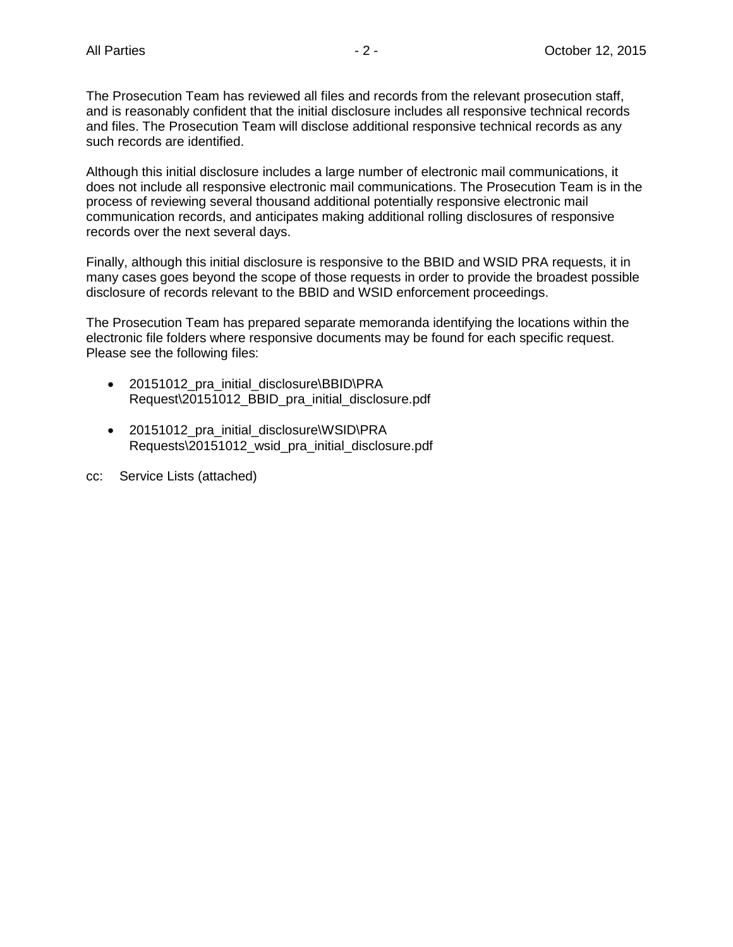The Prosecution Team has reviewed all files and records from the relevant prosecution staff, and is reasonably confident that the initial disclosure includes all responsive technical records and files. The Prosecution Team will disclose additional responsive technical records as any such records are identified.

Although this initial disclosure includes a large number of electronic mail communications, it does not include all responsive electronic mail communications. The Prosecution Team is in the process of reviewing several thousand additional potentially responsive electronic mail communication records, and anticipates making additional rolling disclosures of responsive records over the next several days.

Finally, although this initial disclosure is responsive to the BBID and WSID PRA requests, it in many cases goes beyond the scope of those requests in order to provide the broadest possible disclosure of records relevant to the BBID and WSID enforcement proceedings.

The Prosecution Team has prepared separate memoranda identifying the locations within the electronic file folders where responsive documents may be found for each specific request. Please see the following files:

- 20151012 pra\_initial\_disclosure\BBID\PRA Request\20151012\_BBID\_pra\_initial\_disclosure.pdf
- 20151012 pra\_initial\_disclosure\WSID\PRA Requests\20151012\_wsid\_pra\_initial\_disclosure.pdf
- cc: Service Lists (attached)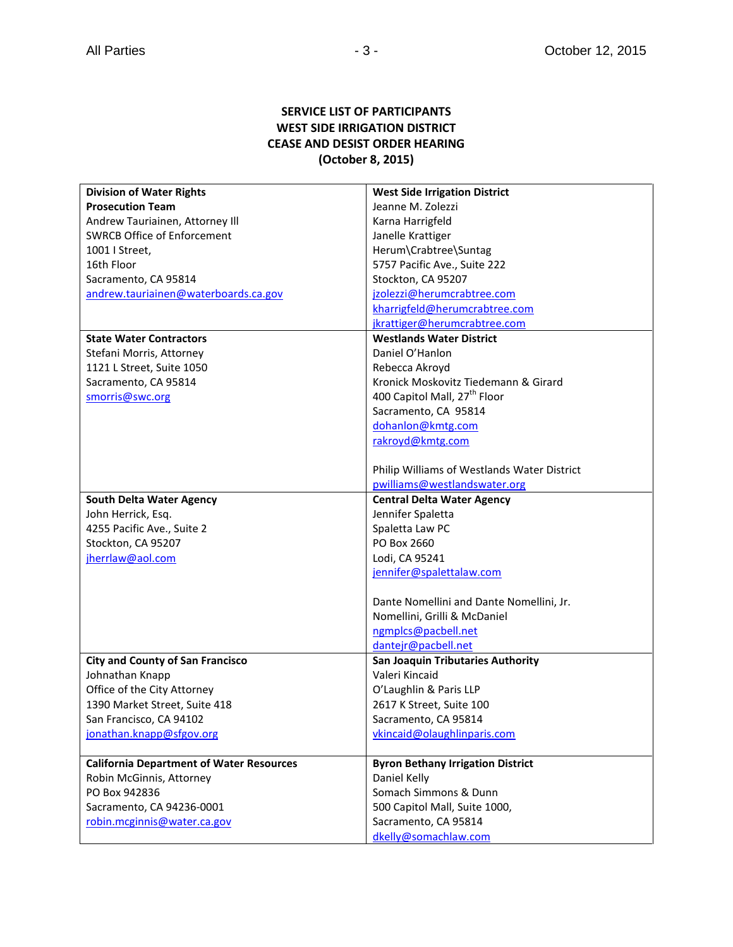# **SERVICE LIST OF PARTICIPANTS WEST SIDE IRRIGATION DISTRICT CEASE AND DESIST ORDER HEARING (October 8, 2015)**

| <b>Division of Water Rights</b>                 | <b>West Side Irrigation District</b>        |
|-------------------------------------------------|---------------------------------------------|
| <b>Prosecution Team</b>                         | Jeanne M. Zolezzi                           |
| Andrew Tauriainen, Attorney Ill                 | Karna Harrigfeld                            |
| <b>SWRCB Office of Enforcement</b>              | Janelle Krattiger                           |
| 1001   Street,                                  | Herum\Crabtree\Suntag                       |
| 16th Floor                                      | 5757 Pacific Ave., Suite 222                |
| Sacramento, CA 95814                            | Stockton, CA 95207                          |
| andrew.tauriainen@waterboards.ca.gov            | jzolezzi@herumcrabtree.com                  |
|                                                 | kharrigfeld@herumcrabtree.com               |
|                                                 | jkrattiger@herumcrabtree.com                |
| <b>State Water Contractors</b>                  | <b>Westlands Water District</b>             |
| Stefani Morris, Attorney                        | Daniel O'Hanlon                             |
| 1121 L Street, Suite 1050                       | Rebecca Akroyd                              |
| Sacramento, CA 95814                            | Kronick Moskovitz Tiedemann & Girard        |
| smorris@swc.org                                 | 400 Capitol Mall, 27 <sup>th</sup> Floor    |
|                                                 | Sacramento, CA 95814                        |
|                                                 | dohanlon@kmtg.com                           |
|                                                 | rakroyd@kmtg.com                            |
|                                                 |                                             |
|                                                 | Philip Williams of Westlands Water District |
|                                                 | pwilliams@westlandswater.org                |
| <b>South Delta Water Agency</b>                 | <b>Central Delta Water Agency</b>           |
| John Herrick, Esq.                              | Jennifer Spaletta                           |
| 4255 Pacific Ave., Suite 2                      | Spaletta Law PC                             |
| Stockton, CA 95207                              | PO Box 2660                                 |
| jherrlaw@aol.com                                | Lodi, CA 95241                              |
|                                                 | jennifer@spalettalaw.com                    |
|                                                 |                                             |
|                                                 | Dante Nomellini and Dante Nomellini, Jr.    |
|                                                 | Nomellini, Grilli & McDaniel                |
|                                                 | ngmplcs@pacbell.net                         |
|                                                 | dantejr@pacbell.net                         |
| <b>City and County of San Francisco</b>         | San Joaquin Tributaries Authority           |
| Johnathan Knapp                                 | Valeri Kincaid                              |
| Office of the City Attorney                     | O'Laughlin & Paris LLP                      |
| 1390 Market Street, Suite 418                   | 2617 K Street, Suite 100                    |
| San Francisco, CA 94102                         | Sacramento, CA 95814                        |
| jonathan.knapp@sfgov.org                        | vkincaid@olaughlinparis.com                 |
|                                                 |                                             |
| <b>California Department of Water Resources</b> | <b>Byron Bethany Irrigation District</b>    |
| Robin McGinnis, Attorney                        | Daniel Kelly                                |
| PO Box 942836                                   | Somach Simmons & Dunn                       |
| Sacramento, CA 94236-0001                       | 500 Capitol Mall, Suite 1000,               |
| robin.mcginnis@water.ca.gov                     | Sacramento, CA 95814                        |
|                                                 | dkelly@somachlaw.com                        |